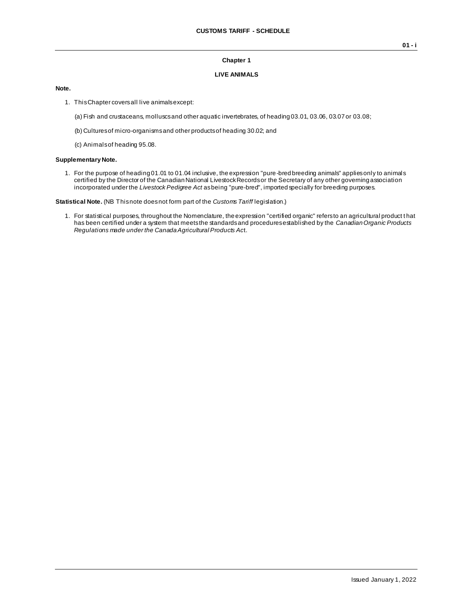## **Chapter 1**

## **LIVE ANIMALS**

#### **Note.**

- 1. This Chapter covers all live animals except:
	- (a) Fish and crustaceans, molluscs and other aquatic invertebrates, of heading 03.01, 03.06, 03.07 or 03.08;
	- (b) Cultures of micro-organisms and other products of heading 30.02; and
	- (c) Animals of heading 95.08.

### **Supplementary Note.**

1. For the purpose of heading 01.01 to 01.04 inclusive, the expression "pure-bred breeding animals" applies only to animal s certified by the Director of the Canadian National Livestock Records or the Secretary of any other governing association incorporated under the *Livestock Pedigree Act* as being "pure-bred", imported specially for breeding purposes.

**Statistical Note.** (NB This note does not form part of the *Customs Tariff* legislation.)

1. For statistical purposes, throughout the Nomenclature, the expression "certified organic" refers to an agricultural product t hat has been certified under a system that meets the standards and procedures established by the *Canadian Organic Products Regulations made under the Canada Agricultural Products Ac*t.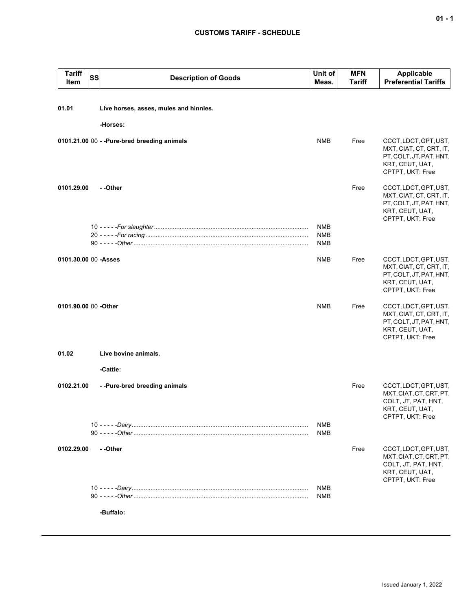# **CUSTOMS TARIFF - SCHEDULE**

| <b>Tariff</b><br>Item | <b>SS</b> | <b>Description of Goods</b>                                  | Unit of<br>Meas.                | <b>MFN</b><br><b>Tariff</b> | <b>Applicable</b><br><b>Preferential Tariffs</b>                                                                   |
|-----------------------|-----------|--------------------------------------------------------------|---------------------------------|-----------------------------|--------------------------------------------------------------------------------------------------------------------|
| 01.01                 |           | Live horses, asses, mules and hinnies.                       |                                 |                             |                                                                                                                    |
|                       |           | -Horses:                                                     |                                 |                             |                                                                                                                    |
|                       |           | 0101.21.00 00 - - Pure-bred breeding animals                 | <b>NMB</b>                      | Free                        | CCCT, LDCT, GPT, UST,<br>MXT, CIAT, CT, CRT, IT,<br>PT, COLT, JT, PAT, HNT,<br>KRT, CEUT, UAT,<br>CPTPT, UKT: Free |
| 0101.29.00            |           | - -Other                                                     |                                 | Free                        | CCCT, LDCT, GPT, UST,<br>MXT, CIAT, CT, CRT, IT,<br>PT, COLT, JT, PAT, HNT,<br>KRT, CEUT, UAT,<br>CPTPT, UKT: Free |
|                       |           |                                                              | <b>NMB</b><br><b>NMB</b><br>NMB |                             |                                                                                                                    |
| 0101.30.00 00 - Asses |           |                                                              | NMB                             | Free                        | CCCT, LDCT, GPT, UST,<br>MXT, CIAT, CT, CRT, IT,<br>PT, COLT, JT, PAT, HNT,<br>KRT, CEUT, UAT,<br>CPTPT, UKT: Free |
| 0101.90.00 00 -Other  |           |                                                              | <b>NMB</b>                      | Free                        | CCCT, LDCT, GPT, UST,<br>MXT, CIAT, CT, CRT, IT,<br>PT, COLT, JT, PAT, HNT,<br>KRT, CEUT, UAT,<br>CPTPT, UKT: Free |
| 01.02                 |           | Live bovine animals.                                         |                                 |                             |                                                                                                                    |
|                       |           | -Cattle:                                                     |                                 |                             |                                                                                                                    |
| 0102.21.00            |           | --Pure-bred breeding animals                                 |                                 | Free                        | CCCT, LDCT, GPT, UST,<br>MXT, CIAT, CT, CRT, PT,<br>COLT, JT, PAT, HNT,<br>KRT, CEUT, UAT,<br>CPTPT, UKT: Free     |
|                       |           | 10 - - - - <i>- Dairy …………………………………………………………………………………</i> …… | NMB<br>NMB                      |                             |                                                                                                                    |
| 0102.29.00            |           | - -Other                                                     |                                 | Free                        | CCCT, LDCT, GPT, UST,<br>MXT.CIAT.CT.CRT.PT.<br>COLT, JT, PAT, HNT,<br>KRT, CEUT, UAT,<br>CPTPT, UKT: Free         |
|                       |           |                                                              | NMB<br>NMB                      |                             |                                                                                                                    |
|                       |           | -Buffalo:                                                    |                                 |                             |                                                                                                                    |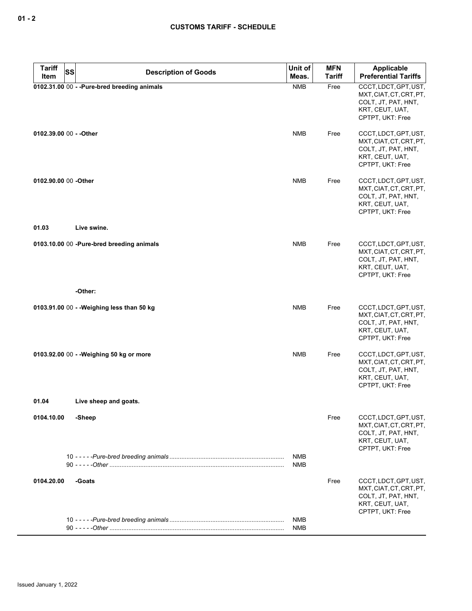| <b>Tariff</b><br><b>SS</b> | <b>Description of Goods</b>                  | Unit of           | <b>MFN</b>    | <b>Applicable</b>                                                                                              |
|----------------------------|----------------------------------------------|-------------------|---------------|----------------------------------------------------------------------------------------------------------------|
| Item                       |                                              | Meas.             | <b>Tariff</b> | <b>Preferential Tariffs</b>                                                                                    |
|                            | 0102.31.00 00 - - Pure-bred breeding animals | <b>NMB</b>        | Free          | CCCT, LDCT, GPT, UST,<br>MXT, CIAT, CT, CRT, PT,<br>COLT, JT, PAT, HNT,<br>KRT, CEUT, UAT,<br>CPTPT, UKT: Free |
| 0102.39.00 00 - - Other    |                                              | <b>NMB</b>        | Free          | CCCT, LDCT, GPT, UST,<br>MXT, CIAT, CT, CRT, PT,<br>COLT, JT, PAT, HNT,<br>KRT, CEUT, UAT,<br>CPTPT, UKT: Free |
| 0102.90.00 00 -Other       |                                              | <b>NMB</b>        | Free          | CCCT, LDCT, GPT, UST,<br>MXT, CIAT, CT, CRT, PT,<br>COLT, JT, PAT, HNT,<br>KRT, CEUT, UAT,<br>CPTPT, UKT: Free |
| 01.03                      | Live swine.                                  |                   |               |                                                                                                                |
|                            | 0103.10.00 00 -Pure-bred breeding animals    | <b>NMB</b>        | Free          | CCCT, LDCT, GPT, UST,<br>MXT, CIAT, CT, CRT, PT,<br>COLT, JT, PAT, HNT,<br>KRT, CEUT, UAT,<br>CPTPT, UKT: Free |
|                            | -Other:                                      |                   |               |                                                                                                                |
|                            | 0103.91.00 00 - - Weighing less than 50 kg   | <b>NMB</b>        | Free          | CCCT, LDCT, GPT, UST,<br>MXT, CIAT, CT, CRT, PT,<br>COLT, JT, PAT, HNT,<br>KRT, CEUT, UAT,<br>CPTPT, UKT: Free |
|                            | 0103.92.00 00 - - Weighing 50 kg or more     | <b>NMB</b>        | Free          | CCCT, LDCT, GPT, UST,<br>MXT, CIAT, CT, CRT, PT,<br>COLT, JT, PAT, HNT,<br>KRT, CEUT, UAT,<br>CPTPT, UKT: Free |
| 01.04                      | Live sheep and goats.                        |                   |               |                                                                                                                |
| 0104.10.00                 | -Sheep                                       |                   | Free          | CCCT, LDCT, GPT, UST,<br>MXT, CIAT, CT, CRT, PT,<br>COLT, JT, PAT, HNT,<br>KRT, CEUT, UAT,<br>CPTPT, UKT: Free |
|                            |                                              | NMB<br><b>NMB</b> |               |                                                                                                                |
| 0104.20.00                 | -Goats                                       |                   | Free          | CCCT, LDCT, GPT, UST,<br>MXT, CIAT, CT, CRT, PT,<br>COLT, JT, PAT, HNT,<br>KRT, CEUT, UAT,<br>CPTPT, UKT: Free |
|                            |                                              | NMB<br><b>NMB</b> |               |                                                                                                                |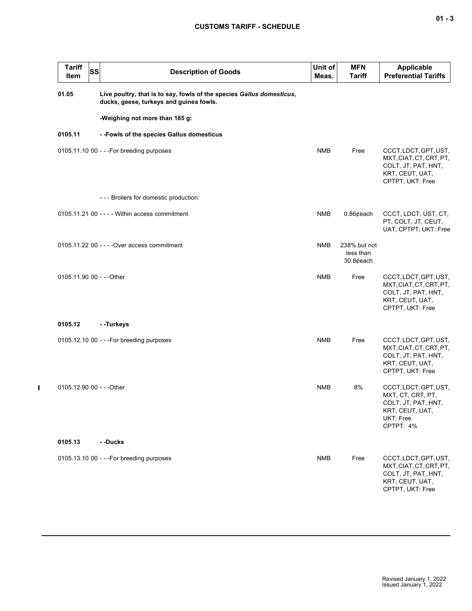| <b>Tariff</b><br>Item     | SS | <b>Description of Goods</b>                                                                                      | Unit of<br>Meas. | <b>MFN</b><br><b>Tariff</b>            | <b>Applicable</b><br><b>Preferential Tariffs</b>                                                               |
|---------------------------|----|------------------------------------------------------------------------------------------------------------------|------------------|----------------------------------------|----------------------------------------------------------------------------------------------------------------|
| 01.05                     |    | Live poultry, that is to say, fowls of the species Gallus domesticus,<br>ducks, geese, turkeys and guinea fowls. |                  |                                        |                                                                                                                |
|                           |    | -Weighing not more than 185 g:                                                                                   |                  |                                        |                                                                                                                |
| 0105.11                   |    | --Fowls of the species Gallus domesticus                                                                         |                  |                                        |                                                                                                                |
|                           |    | $0105.11.1000 - -$ For breeding purposes                                                                         | <b>NMB</b>       | Free                                   | CCCT, LDCT, GPT, UST,<br>MXT, CIAT, CT, CRT, PT,<br>COLT, JT, PAT, HNT,<br>KRT, CEUT, UAT,<br>CPTPT, UKT: Free |
|                           |    | --- Broilers for domestic production:                                                                            |                  |                                        |                                                                                                                |
|                           |    | 0105.11.21 00 - - - - Within access commitment                                                                   | <b>NMB</b>       | $0.86$ ¢each                           | CCCT, LDCT, UST, CT,<br>PT, COLT, JT, CEUT,<br>UAT, CPTPT, UKT: Free                                           |
|                           |    | 0105.11.22 00 - - - - Over access commitment                                                                     | NMB              | 238% but not<br>less than<br>30.8¢each |                                                                                                                |
| 0105.11.90 00 - - - Other |    |                                                                                                                  | <b>NMB</b>       | Free                                   | CCCT, LDCT, GPT, UST,<br>MXT, CIAT, CT, CRT, PT,<br>COLT, JT, PAT, HNT,<br>KRT, CEUT, UAT,<br>CPTPT, UKT: Free |
| 0105.12                   |    | - -Turkeys                                                                                                       |                  |                                        |                                                                                                                |
|                           |    | $0105.12.1000 - -$ For breeding purposes                                                                         | <b>NMB</b>       | Free                                   | CCCT, LDCT, GPT, UST,<br>MXT, CIAT, CT, CRT, PT,<br>COLT, JT, PAT, HNT,<br>KRT, CEUT, UAT,<br>CPTPT, UKT: Free |
| 0105.12.90 00 - - - Other |    |                                                                                                                  | <b>NMB</b>       | 8%                                     | CCCT, LDCT, GPT, UST,<br>MXT, CT, CRT, PT,<br>COLT, JT, PAT, HNT,<br>KRT, CEUT, UAT,<br>UKT: Free<br>CPTPT: 4% |
| 0105.13                   |    | - -Ducks                                                                                                         |                  |                                        |                                                                                                                |
|                           |    | $0105.13.100 - -$ For breeding purposes                                                                          | <b>NMB</b>       | Free                                   | CCCT, LDCT, GPT, UST,<br>MXT, CIAT, CT, CRT, PT,<br>COLT, JT, PAT, HNT,<br>KRT, CEUT, UAT,<br>CPTPT, UKT: Free |

 $\mathbf{I}$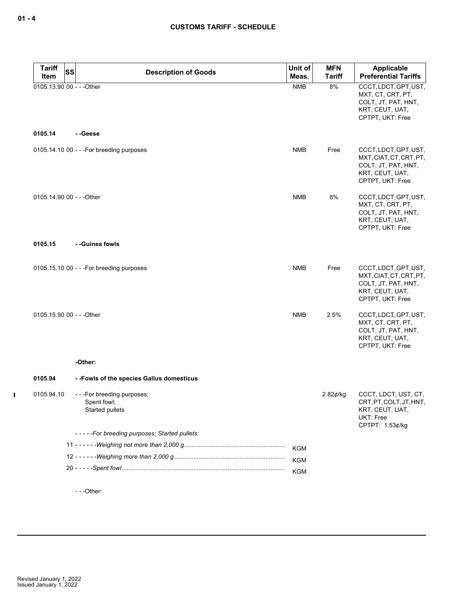| <b>Tariff</b><br><b>SS</b> | <b>Description of Goods</b>                                 | Unit of    | <b>MFN</b>    | Applicable                                                                                                     |
|----------------------------|-------------------------------------------------------------|------------|---------------|----------------------------------------------------------------------------------------------------------------|
| Item                       |                                                             | Meas.      | <b>Tariff</b> | <b>Preferential Tariffs</b>                                                                                    |
| 0105.13.90 00 - - - Other  |                                                             | <b>NMB</b> | 8%            | CCCT, LDCT, GPT, UST,<br>MXT, CT, CRT, PT,<br>COLT, JT, PAT, HNT,<br>KRT, CEUT, UAT,<br>CPTPT, UKT: Free       |
| 0105.14                    | - -Geese                                                    |            |               |                                                                                                                |
|                            | 0105.14.10 00 - - - For breeding purposes                   | <b>NMB</b> | Free          | CCCT, LDCT, GPT, UST,<br>MXT, CIAT, CT, CRT, PT,<br>COLT, JT, PAT, HNT,<br>KRT, CEUT, UAT,<br>CPTPT, UKT: Free |
| 0105.14.90 00 - - - Other  |                                                             | <b>NMB</b> | 8%            | CCCT, LDCT, GPT, UST,<br>MXT, CT, CRT, PT,<br>COLT, JT, PAT, HNT,<br>KRT, CEUT, UAT,<br>CPTPT, UKT: Free       |
| 0105.15                    | - - Guinea fowls                                            |            |               |                                                                                                                |
|                            |                                                             |            |               |                                                                                                                |
|                            | 0105.15.10 00 - - - For breeding purposes                   | <b>NMB</b> | Free          | CCCT, LDCT, GPT, UST,<br>MXT, CIAT, CT, CRT, PT,<br>COLT, JT, PAT, HNT,<br>KRT, CEUT, UAT,<br>CPTPT, UKT: Free |
| 0105.15.90 00 - - - Other  |                                                             | <b>NMB</b> | 2.5%          | CCCT, LDCT, GPT, UST,<br>MXT, CT, CRT, PT,<br>COLT, JT, PAT, HNT,<br>KRT, CEUT, UAT,<br>CPTPT, UKT: Free       |
|                            | -Other:                                                     |            |               |                                                                                                                |
| 0105.94                    | --Fowls of the species Gallus domesticus                    |            |               |                                                                                                                |
| 0105.94.10                 | ---For breeding purposes;<br>Spent fowl;<br>Started pullets |            | $2.82$ ¢/kg   | CCCT, LDCT, UST, CT,<br>CRT, PT, COLT, JT, HNT,<br>KRT, CEUT, UAT,<br>UKT: Free<br>CPTPT: 1.53¢/kg             |
|                            | -----For breeding purposes; Started pullets:                |            |               |                                                                                                                |
|                            |                                                             | <b>KGM</b> |               |                                                                                                                |
|                            |                                                             | <b>KGM</b> |               |                                                                                                                |
|                            |                                                             | <b>KGM</b> |               |                                                                                                                |
|                            |                                                             |            |               |                                                                                                                |

- - -Other:

 $\mathbf{I}$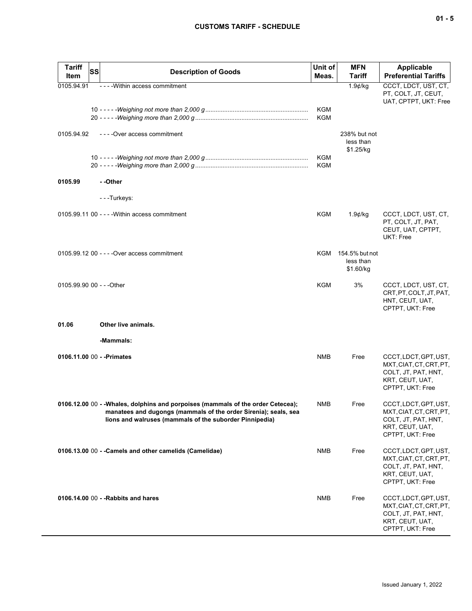# **CUSTOMS TARIFF - SCHEDULE**

| <b>Tariff</b><br>Item      | SS | <b>Description of Goods</b>                                                                                                                                                                                   | Unit of<br>Meas.  | <b>MFN</b><br><b>Tariff</b>                  | <b>Applicable</b><br><b>Preferential Tariffs</b>                                                               |
|----------------------------|----|---------------------------------------------------------------------------------------------------------------------------------------------------------------------------------------------------------------|-------------------|----------------------------------------------|----------------------------------------------------------------------------------------------------------------|
| 0105.94.91                 |    | - - - - Within access commitment                                                                                                                                                                              |                   | $1.9$ ¢/kg                                   | CCCT, LDCT, UST, CT,<br>PT, COLT, JT, CEUT,<br>UAT, CPTPT, UKT: Free                                           |
|                            |    |                                                                                                                                                                                                               | <b>KGM</b><br>KGM |                                              |                                                                                                                |
| 0105.94.92                 |    | ----Over access commitment                                                                                                                                                                                    |                   | 238% but not<br>less than<br>\$1.25/kg       |                                                                                                                |
|                            |    |                                                                                                                                                                                                               | KGM<br>KGM        |                                              |                                                                                                                |
| 0105.99                    |    | - -Other                                                                                                                                                                                                      |                   |                                              |                                                                                                                |
|                            |    | ---Turkeys:                                                                                                                                                                                                   |                   |                                              |                                                                                                                |
|                            |    | $0105.99.1100 - -$ - Within access commitment                                                                                                                                                                 | KGM               | $1.9$ ¢/kg                                   | CCCT, LDCT, UST, CT,<br>PT, COLT, JT, PAT,<br>CEUT, UAT, CPTPT,<br>UKT: Free                                   |
|                            |    | 0105.99.12 00 - - - - Over access commitment                                                                                                                                                                  |                   | KGM 154.5% but not<br>less than<br>\$1.60/kg |                                                                                                                |
| 0105.99.90 00 - - - Other  |    |                                                                                                                                                                                                               | <b>KGM</b>        | 3%                                           | CCCT, LDCT, UST, CT,<br>CRT, PT, COLT, JT, PAT,<br>HNT, CEUT, UAT,<br>CPTPT, UKT: Free                         |
| 01.06                      |    | Other live animals.                                                                                                                                                                                           |                   |                                              |                                                                                                                |
|                            |    | -Mammals:                                                                                                                                                                                                     |                   |                                              |                                                                                                                |
| 0106.11.00 00 - - Primates |    |                                                                                                                                                                                                               | <b>NMB</b>        | Free                                         | CCCT, LDCT, GPT, UST,<br>MXT, CIAT, CT, CRT, PT,<br>COLT, JT, PAT, HNT,<br>KRT, CEUT, UAT,<br>CPTPT, UKT: Free |
|                            |    | 0106.12.00 00 - -Whales, dolphins and porpoises (mammals of the order Cetecea);<br>manatees and dugongs (mammals of the order Sirenia); seals, sea<br>lions and walruses (mammals of the suborder Pinnipedia) | NMB               | Free                                         | CCCT, LDCT, GPT, UST,<br>MXT, CIAT, CT, CRT, PT,<br>COLT, JT, PAT, HNT,<br>KRT, CEUT, UAT,<br>CPTPT, UKT: Free |
|                            |    | 0106.13.00 00 - - Camels and other camelids (Camelidae)                                                                                                                                                       | NMB               | Free                                         | CCCT, LDCT, GPT, UST,<br>MXT, CIAT, CT, CRT, PT,<br>COLT, JT, PAT, HNT,<br>KRT, CEUT, UAT,<br>CPTPT, UKT: Free |
|                            |    | 0106.14.00 00 - - Rabbits and hares                                                                                                                                                                           | NMB               | Free                                         | CCCT, LDCT, GPT, UST,<br>MXT, CIAT, CT, CRT, PT,<br>COLT, JT, PAT, HNT,<br>KRT, CEUT, UAT,<br>CPTPT, UKT: Free |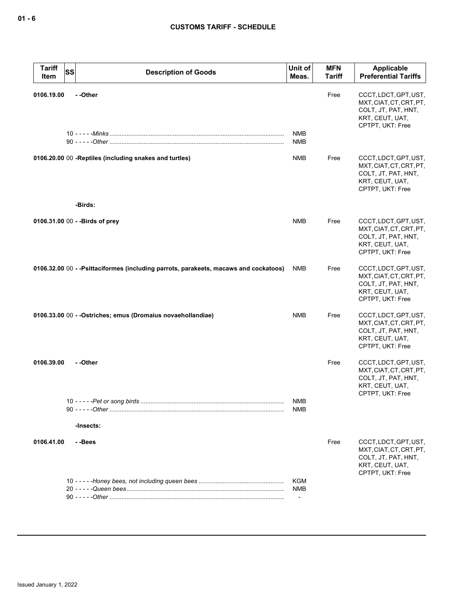| <b>Tariff</b><br>Item | <b>SS</b> | <b>Description of Goods</b>                                                          | Unit of<br>Meas.                           | <b>MFN</b><br>Tariff | Applicable<br><b>Preferential Tariffs</b>                                                                      |
|-----------------------|-----------|--------------------------------------------------------------------------------------|--------------------------------------------|----------------------|----------------------------------------------------------------------------------------------------------------|
| 0106.19.00            |           | --Other                                                                              |                                            | Free                 | CCCT, LDCT, GPT, UST,<br>MXT, CIAT, CT, CRT, PT,<br>COLT, JT, PAT, HNT,<br>KRT, CEUT, UAT,<br>CPTPT, UKT: Free |
|                       |           |                                                                                      | <b>NMB</b><br><b>NMB</b>                   |                      |                                                                                                                |
|                       |           | 0106.20.00 00 -Reptiles (including snakes and turtles)                               | <b>NMB</b>                                 | Free                 | CCCT, LDCT, GPT, UST,<br>MXT, CIAT, CT, CRT, PT,<br>COLT, JT, PAT, HNT,<br>KRT, CEUT, UAT,<br>CPTPT, UKT: Free |
|                       |           | -Birds:                                                                              |                                            |                      |                                                                                                                |
|                       |           | 0106.31.00 00 - - Birds of prey                                                      | <b>NMB</b>                                 | Free                 | CCCT, LDCT, GPT, UST,<br>MXT.CIAT.CT.CRT.PT.<br>COLT, JT, PAT, HNT,<br>KRT, CEUT, UAT,<br>CPTPT, UKT: Free     |
|                       |           | 0106.32.00 00 - -Psittaciformes (including parrots, parakeets, macaws and cockatoos) | NMB                                        | Free                 | CCCT, LDCT, GPT, UST,<br>MXT, CIAT, CT, CRT, PT,<br>COLT, JT, PAT, HNT,<br>KRT, CEUT, UAT,<br>CPTPT, UKT: Free |
|                       |           | 0106.33.00 00 - - Ostriches; emus (Dromaius novaehollandiae)                         | <b>NMB</b>                                 | Free                 | CCCT, LDCT, GPT, UST,<br>MXT, CIAT, CT, CRT, PT,<br>COLT, JT, PAT, HNT,<br>KRT, CEUT, UAT,<br>CPTPT, UKT: Free |
| 0106.39.00            |           | --Other                                                                              |                                            | Free                 | CCCT, LDCT, GPT, UST,<br>MXT, CIAT, CT, CRT, PT,<br>COLT, JT, PAT, HNT,<br>KRT, CEUT, UAT,<br>CPTPT, UKT: Free |
|                       |           |                                                                                      | <b>NMB</b><br><b>NMB</b>                   |                      |                                                                                                                |
|                       |           | -Insects:                                                                            |                                            |                      |                                                                                                                |
| 0106.41.00            |           | - -Bees                                                                              |                                            | Free                 | CCCT, LDCT, GPT, UST,<br>MXT, CIAT, CT, CRT, PT,<br>COLT, JT, PAT, HNT,<br>KRT, CEUT, UAT,<br>CPTPT, UKT: Free |
|                       |           |                                                                                      | <b>KGM</b><br><b>NMB</b><br>$\blacksquare$ |                      |                                                                                                                |